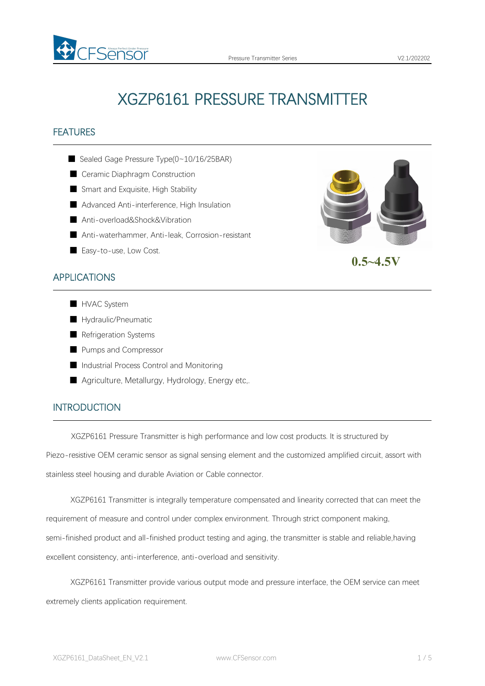

# XGZP6161 PRESSURE TRANSMITTER

## FEATURES

- Sealed Gage Pressure Type(0~10/16/25BAR)
- Ceramic Diaphragm Construction
- Smart and Exquisite, High Stability
- Advanced Anti-interference, High Insulation
- Anti-overload&Shock&Vibration
- Anti-waterhammer, Anti-leak, Corrosion-resistant
- Easy-to-use, Low Cost.

## APPLICATIONS

- HVAC System
- Hydraulic/Pneumatic
- Refrigeration Systems
- Pumps and Compressor
- Industrial Process Control and Monitoring
- Agriculture, Metallurgy, Hydrology, Energy etc,.

# INTRODUCTION

XGZP6161 Pressure Transmitter is high performance and low cost products. It is structured by Piezo-resistive OEM ceramic sensor as signal sensing element and the customized amplified circuit, assort with

stainless steel housing and durable Aviation or Cable connector.

XGZP6161 Transmitter is integrally temperature compensated and linearity corrected that can meet the requirement of measure and control under complex environment. Through strict component making, semi-finished product and all-finished product testing and aging, the transmitter is stable and reliable,having excellent consistency, anti-interference, anti-overload and sensitivity.

XGZP6161 Transmitter provide various output mode and pressure interface, the OEM service can meet extremely clients application requirement.

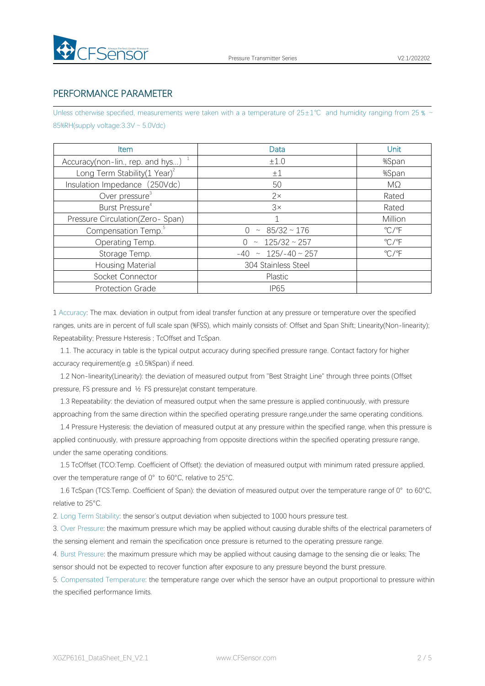

#### PERFORMANCE PARAMETER

Unless otherwise specified, measurements were taken with a a temperature of 25±1℃ and humidity ranging from 25 % ~ 85%RH(supply voltage: 3.3V ~ 5.0Vdc)

| <b>Item</b>                              | Data                        | <b>Unit</b>             |
|------------------------------------------|-----------------------------|-------------------------|
| Accuracy(non-lin., rep. and hys) $1$     | ±1.0                        | %Span                   |
| Long Term Stability $(1 \text{ Year})^2$ | $\pm 1$                     | %Span                   |
| Insulation Impedance (250Vdc)            | 50                          | MΩ                      |
| Over pressure <sup>3</sup>               | $2\times$                   | Rated                   |
| Burst Pressure <sup>4</sup>              | 3x                          | Rated                   |
| Pressure Circulation(Zero-Span)          |                             | Million                 |
| Compensation Temp. <sup>5</sup>          | $\sim 85/32 \sim 176$       | $\mathrm{C}/\mathrm{F}$ |
| Operating Temp.                          | $0 \sim 125/32 \sim 257$    | $\mathrm{C}/\mathrm{F}$ |
| Storage Temp.                            | $-40 \sim 125/-40 \sim 257$ | $\mathrm{C}/\mathrm{F}$ |
| Housing Material                         | 304 Stainless Steel         |                         |
| Socket Connector                         | Plastic                     |                         |
| <b>Protection Grade</b>                  | <b>IP65</b>                 |                         |

1 Accuracy: The max. deviation in output from ideal transfer function at any pressure or temperature over the specified ranges, units are in percent of full scale span (%FSS), which mainly consists of: Offset and Span Shift; Linearity(Non-linearity); Repeatability; Pressure Hsteresis ; TcOffset and TcSpan.

1.1. The accuracy in table is the typical output accuracy during specified pressure range. Contact factory for higher accuracy requirement(e.g  $\pm 0.5$ %Span) if need.

1.2 Non-linearity(Linearity): the deviation of measured output from "Best Straight Line" through three points (Offset pressure, FS pressure and ½ FS pressure)at constant temperature.

1.3 Repeatability: the deviation of measured output when the same pressure is applied continuously, with pressure approaching from the same direction within the specified operating pressure range,under the same operating conditions.

1.4 Pressure Hysteresis: the deviation of measured output at any pressure within the specified range, when this pressure is applied continuously, with pressure approaching from opposite directions within the specified operating pressure range, under the same operating conditions.

1.5 TcOffset (TCO:Temp. Coefficient of Offset): the deviation of measured output with minimum rated pressure applied, over the temperature range of 0°to 60°C, relative to 25°C.

1.6 TcSpan (TCS:Temp. Coefficient of Span): the deviation of measured output over the temperature range of 0° to 60°C, relative to 25°C.

2. Long Term Stability: the sensor's output deviation when subjected to 1000 hours pressure test.

3. Over Pressure: the maximum pressure which may be applied without causing durable shifts of the electrical parameters of the sensing element and remain the specification once pressure is returned to the operating pressure range.

4. Burst Pressure: the maximum pressure which may be applied without causing damage to the sensing die or leaks; The sensor should not be expected to recover function after exposure to any pressure beyond the burst pressure.

5. Compensated Temperature: the temperature range over which the sensor have an output proportional to pressure within the specified performance limits.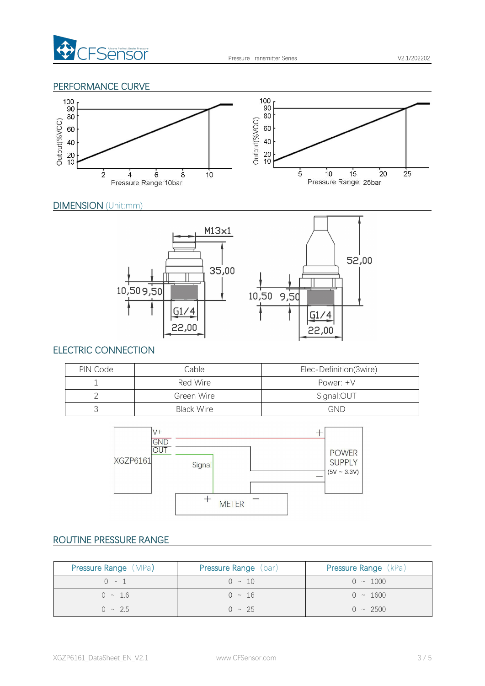

#### PERFORMANCE CURVE



#### DIMENSION (Unit:mm)



#### ELECTRIC CONNECTION

| PIN Code | Cable      | Elec-Definition(3wire) |
|----------|------------|------------------------|
|          | Red Wire   | Power: $+V$            |
|          | Green Wire | Signal:OUT             |
|          | Black Wire | <b>GND</b>             |



# ROUTINE PRESSURE RANGE

| <b>Pressure Range (MPa)</b> | <b>Pressure Range</b> (bar) | <b>Pressure Range</b> (kPa) |
|-----------------------------|-----------------------------|-----------------------------|
| $0 \sim 1$                  | $0 \sim 10$                 | $0 \sim 1000$               |
| $0 \sim 1.6$                | $0 \sim 16$                 | $0 \sim 1600$               |
| $0 \sim 2.5$                | $0 \sim 25$                 | $0 \sim 2500$               |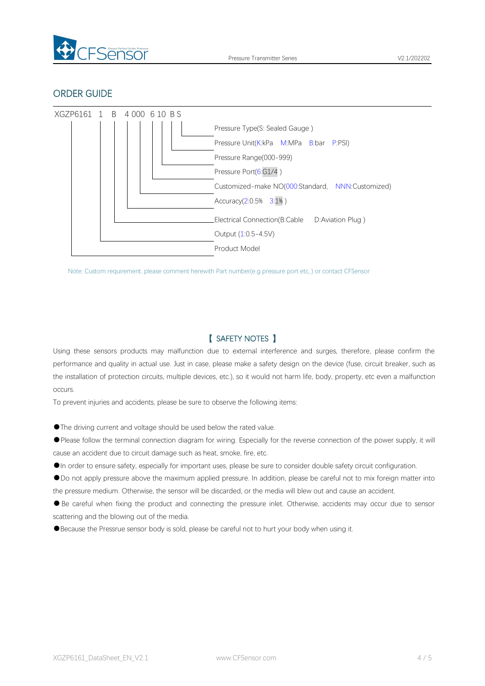

#### ORDER GUIDE



Note: Custom requirement, please comment herewith Part number(e.g pressure port etc,.) or contact CFSensor

#### 【 SAFETY NOTES 】

Using these sensors products may malfunction due to external interference and surges, therefore, please confirm the performance and quality in actual use. Just in case, please make a safety design on the device (fuse, circuit breaker, such as the installation of protection circuits, multiple devices, etc.), so it would not harm life, body, property, etc even amalfunction occurs.

To prevent injuries and accidents, please be sure to observe the following items:

●The driving current and voltage should be used below the rated value.

●Please follow the terminal connection diagram for wiring. Especially for the reverse connection of the power supply, it will cause an accident due to circuit damage such as heat, smoke, fire, etc.

●In order to ensure safety, especially for important uses, please be sure to consider double safety circuit configuration.

●Do not apply pressure above the maximum applied pressure. In addition, please be careful not to mix foreign matter into the pressure medium. Otherwise, the sensor will be discarded, or the media will blew out and cause an accident.<br>• Be careful when fixing the product and connecting the pressure inlet. Otherwise, accidents may occur due to

scattering and the blowing out of the media.

●Because the Pressrue sensor body is sold, please be careful not to hurt your body when using it.